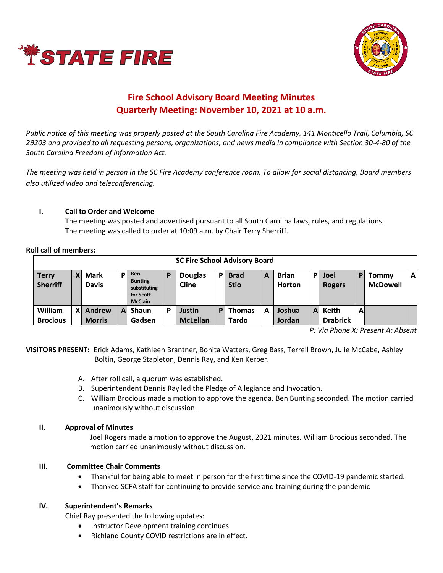



# **Fire School Advisory Board Meeting Minutes Quarterly Meeting: November 10, 2021 at 10 a.m.**

*Public notice of this meeting was properly posted at the South Carolina Fire Academy, 141 Monticello Trail, Columbia, SC 29203 and provided to all requesting persons, organizations, and news media in compliance with Section 30-4-80 of the South Carolina Freedom of Information Act.* 

*The meeting was held in person in the SC Fire Academy conference room. To allow for social distancing, Board members also utilized video and teleconferencing.*

# **I. Call to Order and Welcome**

The meeting was posted and advertised pursuant to all South Carolina laws, rules, and regulations. The meeting was called to order at 10:09 a.m. by Chair Terry Sherriff.

**Roll call of members:**

| <b>SC Fire School Advisory Board</b> |   |                             |    |                                                                             |   |                           |     |                            |   |                               |              |                          |   |                          |              |
|--------------------------------------|---|-----------------------------|----|-----------------------------------------------------------------------------|---|---------------------------|-----|----------------------------|---|-------------------------------|--------------|--------------------------|---|--------------------------|--------------|
| <b>Terry</b><br><b>Sherriff</b>      |   | <b>Mark</b><br><b>Davis</b> | P  | <b>Ben</b><br><b>Bunting</b><br>substituting<br>for Scott<br><b>McClain</b> | P | <b>Douglas</b><br>Cline   | D I | <b>Brad</b><br><b>Stio</b> | Α | <b>Brian</b><br><b>Horton</b> | P            | Joel<br><b>Rogers</b>    | P | Tommy<br><b>McDowell</b> | $\mathbf{A}$ |
| William<br><b>Brocious</b>           | X | Andrew<br><b>Morris</b>     | ΑI | Shaun<br>Gadsen                                                             | D | Justin<br><b>McLellan</b> | D   | <b>Thomas</b><br>Tardo     | А | Joshua<br><b>Jordan</b>       | $\mathbf{A}$ | Keith<br><b>Drabrick</b> | A |                          |              |

*P: Via Phone X: Present A: Absent*

**VISITORS PRESENT:** Erick Adams, Kathleen Brantner, Bonita Watters, Greg Bass, Terrell Brown, Julie McCabe, Ashley Boltin, George Stapleton, Dennis Ray, and Ken Kerber.

- A. After roll call, a quorum was established.
- B. Superintendent Dennis Ray led the Pledge of Allegiance and Invocation.
- C. William Brocious made a motion to approve the agenda. Ben Bunting seconded. The motion carried unanimously without discussion.

### **II. Approval of Minutes**

Joel Rogers made a motion to approve the August, 2021 minutes. William Brocious seconded. The motion carried unanimously without discussion.

### **III. Committee Chair Comments**

- Thankful for being able to meet in person for the first time since the COVID-19 pandemic started.
- Thanked SCFA staff for continuing to provide service and training during the pandemic

### **IV. Superintendent's Remarks**

Chief Ray presented the following updates:

- Instructor Development training continues
- Richland County COVID restrictions are in effect.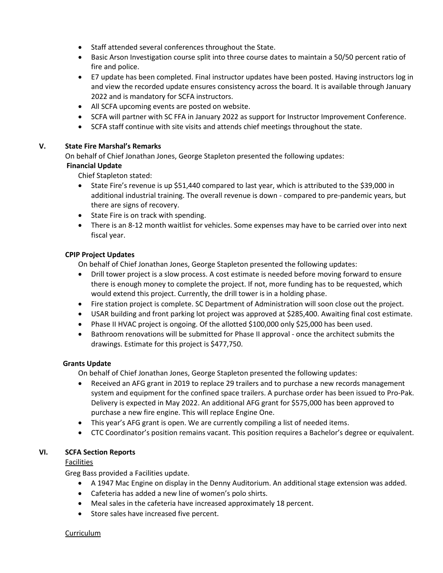- Staff attended several conferences throughout the State.
- Basic Arson Investigation course split into three course dates to maintain a 50/50 percent ratio of fire and police.
- E7 update has been completed. Final instructor updates have been posted. Having instructors log in and view the recorded update ensures consistency across the board. It is available through January 2022 and is mandatory for SCFA instructors.
- All SCFA upcoming events are posted on website.
- SCFA will partner with SC FFA in January 2022 as support for Instructor Improvement Conference.
- SCFA staff continue with site visits and attends chief meetings throughout the state.

### **V. State Fire Marshal's Remarks**

On behalf of Chief Jonathan Jones, George Stapleton presented the following updates:

# **Financial Update**

Chief Stapleton stated:

- State Fire's revenue is up \$51,440 compared to last year, which is attributed to the \$39,000 in additional industrial training. The overall revenue is down - compared to pre-pandemic years, but there are signs of recovery.
- State Fire is on track with spending.
- There is an 8-12 month waitlist for vehicles. Some expenses may have to be carried over into next fiscal year.

# **CPIP Project Updates**

On behalf of Chief Jonathan Jones, George Stapleton presented the following updates:

- Drill tower project is a slow process. A cost estimate is needed before moving forward to ensure there is enough money to complete the project. If not, more funding has to be requested, which would extend this project. Currently, the drill tower is in a holding phase.
- Fire station project is complete. SC Department of Administration will soon close out the project.
- USAR building and front parking lot project was approved at \$285,400. Awaiting final cost estimate.
- Phase II HVAC project is ongoing. Of the allotted \$100,000 only \$25,000 has been used.
- Bathroom renovations will be submitted for Phase II approval once the architect submits the drawings. Estimate for this project is \$477,750.

### **Grants Update**

On behalf of Chief Jonathan Jones, George Stapleton presented the following updates:

- Received an AFG grant in 2019 to replace 29 trailers and to purchase a new records management system and equipment for the confined space trailers. A purchase order has been issued to Pro-Pak. Delivery is expected in May 2022. An additional AFG grant for \$575,000 has been approved to purchase a new fire engine. This will replace Engine One.
- This year's AFG grant is open. We are currently compiling a list of needed items.
- CTC Coordinator's position remains vacant. This position requires a Bachelor's degree or equivalent.

### **VI. SCFA Section Reports**

Facilities

Greg Bass provided a Facilities update.

- A 1947 Mac Engine on display in the Denny Auditorium. An additional stage extension was added.
- Cafeteria has added a new line of women's polo shirts.
- Meal sales in the cafeteria have increased approximately 18 percent.
- Store sales have increased five percent.

#### **Curriculum**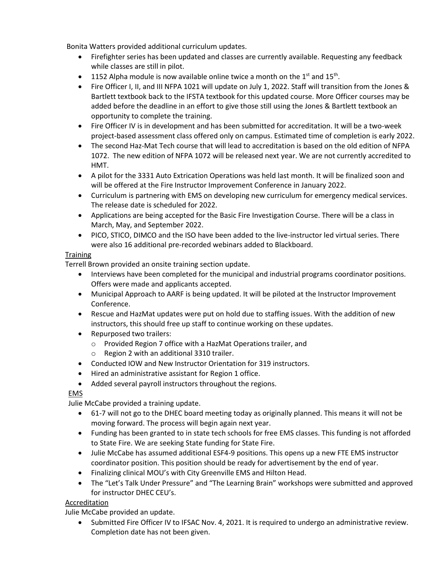Bonita Watters provided additional curriculum updates.

- Firefighter series has been updated and classes are currently available. Requesting any feedback while classes are still in pilot.
- 1152 Alpha module is now available online twice a month on the  $1<sup>st</sup>$  and  $15<sup>th</sup>$ .
- Fire Officer I, II, and III NFPA 1021 will update on July 1, 2022. Staff will transition from the Jones & Bartlett textbook back to the IFSTA textbook for this updated course. More Officer courses may be added before the deadline in an effort to give those still using the Jones & Bartlett textbook an opportunity to complete the training.
- Fire Officer IV is in development and has been submitted for accreditation. It will be a two-week project-based assessment class offered only on campus. Estimated time of completion is early 2022.
- The second Haz-Mat Tech course that will lead to accreditation is based on the old edition of NFPA 1072. The new edition of NFPA 1072 will be released next year. We are not currently accredited to HMT.
- A pilot for the 3331 Auto Extrication Operations was held last month. It will be finalized soon and will be offered at the Fire Instructor Improvement Conference in January 2022.
- Curriculum is partnering with EMS on developing new curriculum for emergency medical services. The release date is scheduled for 2022.
- Applications are being accepted for the Basic Fire Investigation Course. There will be a class in March, May, and September 2022.
- PICO, STICO, DIMCO and the ISO have been added to the live-instructor led virtual series. There were also 16 additional pre-recorded webinars added to Blackboard.

# **Training**

Terrell Brown provided an onsite training section update.

- Interviews have been completed for the municipal and industrial programs coordinator positions. Offers were made and applicants accepted.
- Municipal Approach to AARF is being updated. It will be piloted at the Instructor Improvement Conference.
- Rescue and HazMat updates were put on hold due to staffing issues. With the addition of new instructors, this should free up staff to continue working on these updates.
- Repurposed two trailers:
	- o Provided Region 7 office with a HazMat Operations trailer, and
	- o Region 2 with an additional 3310 trailer.
- Conducted IOW and New Instructor Orientation for 319 instructors.
- Hired an administrative assistant for Region 1 office.
- Added several payroll instructors throughout the regions.

# EMS

Julie McCabe provided a training update.

- 61-7 will not go to the DHEC board meeting today as originally planned. This means it will not be moving forward. The process will begin again next year.
- Funding has been granted to in state tech schools for free EMS classes. This funding is not afforded to State Fire. We are seeking State funding for State Fire.
- Julie McCabe has assumed additional ESF4-9 positions. This opens up a new FTE EMS instructor coordinator position. This position should be ready for advertisement by the end of year.
- Finalizing clinical MOU's with City Greenville EMS and Hilton Head.
- The "Let's Talk Under Pressure" and "The Learning Brain" workshops were submitted and approved for instructor DHEC CEU's.

# Accreditation

Julie McCabe provided an update.

• Submitted Fire Officer IV to IFSAC Nov. 4, 2021. It is required to undergo an administrative review. Completion date has not been given.